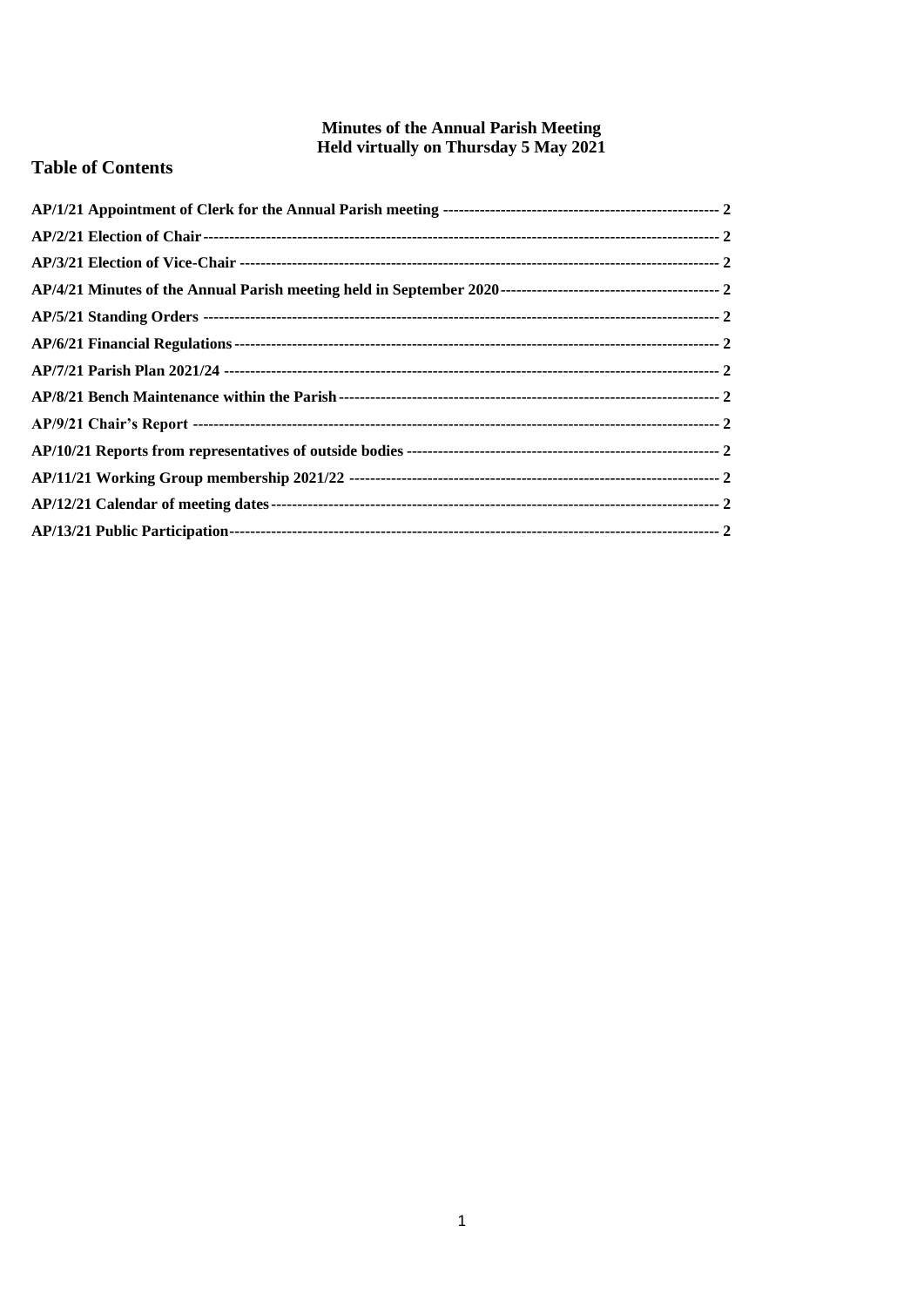# **Minutes of the Annual Parish Meeting Held virtually on Thursday 5 May 2021**

# **Table of Contents**